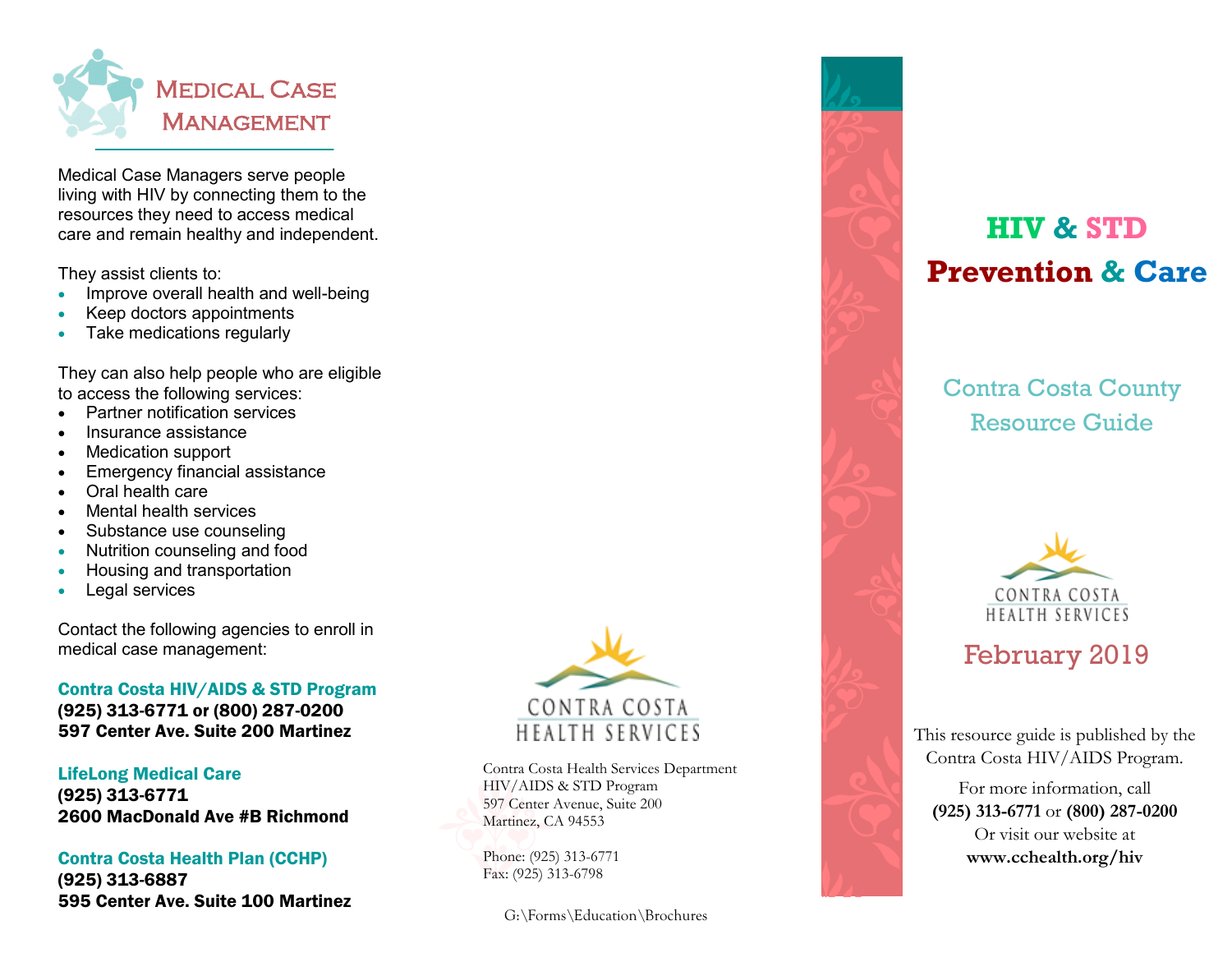

Medical Case Managers serve people living with HIV by connecting them to the resources they need to access medical care and remain healthy and independent.

They assist clients to:

- Improve overall health and well-being
- Keep doctors appointments
- Take medications regularly

They can also help people who are eligible to access the following services:

- Partner notification services
- Insurance assistance
- Medication support
- Emergency financial assistance
- Oral health care
- Mental health services
- Substance use counseling
- Nutrition counseling and food
- Housing and transportation
- Legal services

Contact the following agencies to enroll in medical case management:

### Contra Costa HIV/AIDS & STD Program (925) 313-6771 or (800) 287-0200 597 Center Ave. Suite 200 Martinez

LifeLong Medical Care (925) 313-6771 2600 MacDonald Ave #B Richmond

### Contra Costa Health Plan (CCHP)

(925) 313-6887 595 Center Ave. Suite 100 Martinez



Contra Costa Health Services Department HIV/AIDS & STD Program 597 Center Avenue, Suite 200 Martinez, CA 94553

Phone: (925) 313-6771 Fax: (925) 313-6798

G:\Forms\Education\Brochures



# **HIV & STD Prevention & Care**

Contra Costa County Resource Guide



# February 2019

This resource guide is published by the Contra Costa HIV/AIDS Program.

For more information, call **(925) 313-6771** or **(800) 287-0200** Or visit our website at **www.cchealth.org/hiv**